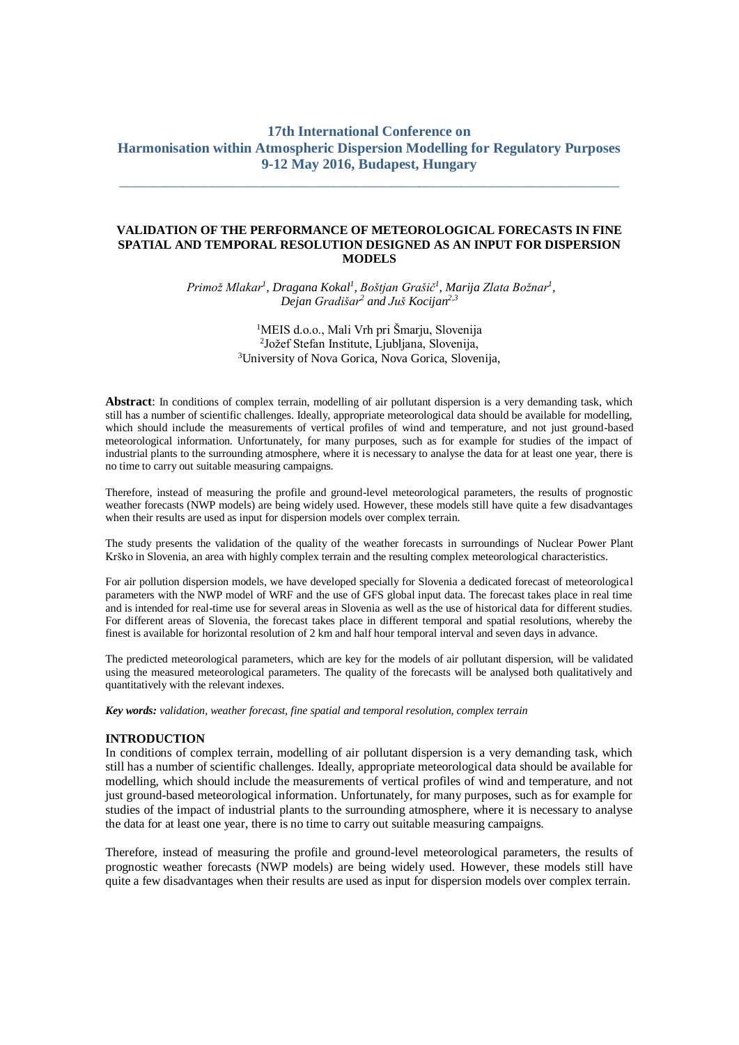# **17th International Conference on Harmonisation within Atmospheric Dispersion Modelling for Regulatory Purposes 9-12 May 2016, Budapest, Hungary**

\_\_\_\_\_\_\_\_\_\_\_\_\_\_\_\_\_\_\_\_\_\_\_\_\_\_\_\_\_\_\_\_\_\_\_\_\_\_\_\_\_\_\_\_\_\_\_\_\_\_\_\_\_\_\_\_\_\_\_\_\_\_\_\_\_\_\_\_\_\_

# **VALIDATION OF THE PERFORMANCE OF METEOROLOGICAL FORECASTS IN FINE SPATIAL AND TEMPORAL RESOLUTION DESIGNED AS AN INPUT FOR DISPERSION MODELS**

*Primož Mlakar<sup>1</sup> , Dragana Kokal<sup>1</sup> , Boštjan Grašič<sup>1</sup> , Marija Zlata Božnar<sup>1</sup> , Dejan Gradišar<sup>2</sup> and Juš Kocijan2,3*

> <sup>1</sup>MEIS d.o.o., Mali Vrh pri Šmarju, Slovenija 2 Jožef Stefan Institute, Ljubljana, Slovenija, <sup>3</sup>University of Nova Gorica, Nova Gorica, Slovenija,

**Abstract**: In conditions of complex terrain, modelling of air pollutant dispersion is a very demanding task, which still has a number of scientific challenges. Ideally, appropriate meteorological data should be available for modelling, which should include the measurements of vertical profiles of wind and temperature, and not just ground-based meteorological information. Unfortunately, for many purposes, such as for example for studies of the impact of industrial plants to the surrounding atmosphere, where it is necessary to analyse the data for at least one year, there is no time to carry out suitable measuring campaigns.

Therefore, instead of measuring the profile and ground-level meteorological parameters, the results of prognostic weather forecasts (NWP models) are being widely used. However, these models still have quite a few disadvantages when their results are used as input for dispersion models over complex terrain.

The study presents the validation of the quality of the weather forecasts in surroundings of Nuclear Power Plant Krško in Slovenia, an area with highly complex terrain and the resulting complex meteorological characteristics.

For air pollution dispersion models, we have developed specially for Slovenia a dedicated forecast of meteorological parameters with the NWP model of WRF and the use of GFS global input data. The forecast takes place in real time and is intended for real-time use for several areas in Slovenia as well as the use of historical data for different studies. For different areas of Slovenia, the forecast takes place in different temporal and spatial resolutions, whereby the finest is available for horizontal resolution of 2 km and half hour temporal interval and seven days in advance.

The predicted meteorological parameters, which are key for the models of air pollutant dispersion, will be validated using the measured meteorological parameters. The quality of the forecasts will be analysed both qualitatively and quantitatively with the relevant indexes.

*Key words: validation, weather forecast, fine spatial and temporal resolution, complex terrain*

#### **INTRODUCTION**

In conditions of complex terrain, modelling of air pollutant dispersion is a very demanding task, which still has a number of scientific challenges. Ideally, appropriate meteorological data should be available for modelling, which should include the measurements of vertical profiles of wind and temperature, and not just ground-based meteorological information. Unfortunately, for many purposes, such as for example for studies of the impact of industrial plants to the surrounding atmosphere, where it is necessary to analyse the data for at least one year, there is no time to carry out suitable measuring campaigns.

Therefore, instead of measuring the profile and ground-level meteorological parameters, the results of prognostic weather forecasts (NWP models) are being widely used. However, these models still have quite a few disadvantages when their results are used as input for dispersion models over complex terrain.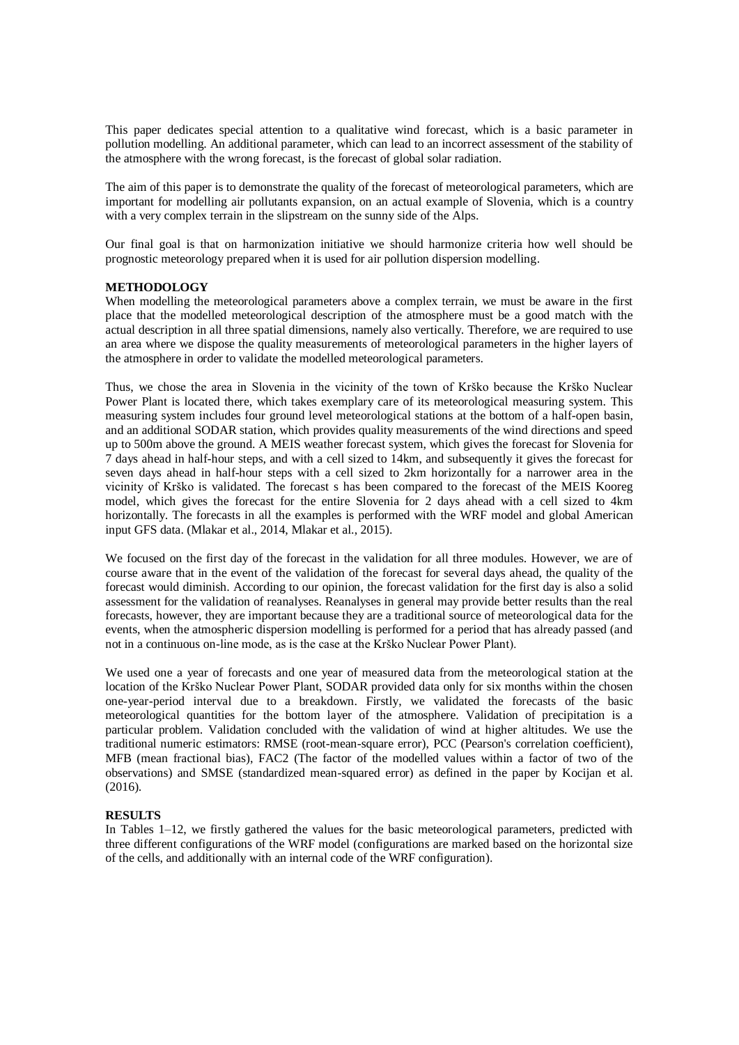This paper dedicates special attention to a qualitative wind forecast, which is a basic parameter in pollution modelling. An additional parameter, which can lead to an incorrect assessment of the stability of the atmosphere with the wrong forecast, is the forecast of global solar radiation.

The aim of this paper is to demonstrate the quality of the forecast of meteorological parameters, which are important for modelling air pollutants expansion, on an actual example of Slovenia, which is a country with a very complex terrain in the slipstream on the sunny side of the Alps.

Our final goal is that on harmonization initiative we should harmonize criteria how well should be prognostic meteorology prepared when it is used for air pollution dispersion modelling.

# **METHODOLOGY**

When modelling the meteorological parameters above a complex terrain, we must be aware in the first place that the modelled meteorological description of the atmosphere must be a good match with the actual description in all three spatial dimensions, namely also vertically. Therefore, we are required to use an area where we dispose the quality measurements of meteorological parameters in the higher layers of the atmosphere in order to validate the modelled meteorological parameters.

Thus, we chose the area in Slovenia in the vicinity of the town of Krško because the Krško Nuclear Power Plant is located there, which takes exemplary care of its meteorological measuring system. This measuring system includes four ground level meteorological stations at the bottom of a half-open basin, and an additional SODAR station, which provides quality measurements of the wind directions and speed up to 500m above the ground. A MEIS weather forecast system, which gives the forecast for Slovenia for 7 days ahead in half-hour steps, and with a cell sized to 14km, and subsequently it gives the forecast for seven days ahead in half-hour steps with a cell sized to 2km horizontally for a narrower area in the vicinity of Krško is validated. The forecast s has been compared to the forecast of the MEIS Kooreg model, which gives the forecast for the entire Slovenia for 2 days ahead with a cell sized to 4km horizontally. The forecasts in all the examples is performed with the WRF model and global American input GFS data. (Mlakar et al., 2014, Mlakar et al., 2015).

We focused on the first day of the forecast in the validation for all three modules. However, we are of course aware that in the event of the validation of the forecast for several days ahead, the quality of the forecast would diminish. According to our opinion, the forecast validation for the first day is also a solid assessment for the validation of reanalyses. Reanalyses in general may provide better results than the real forecasts, however, they are important because they are a traditional source of meteorological data for the events, when the atmospheric dispersion modelling is performed for a period that has already passed (and not in a continuous on-line mode, as is the case at the Krško Nuclear Power Plant).

We used one a year of forecasts and one year of measured data from the meteorological station at the location of the Krško Nuclear Power Plant, SODAR provided data only for six months within the chosen one-year-period interval due to a breakdown. Firstly, we validated the forecasts of the basic meteorological quantities for the bottom layer of the atmosphere. Validation of precipitation is a particular problem. Validation concluded with the validation of wind at higher altitudes. We use the traditional numeric estimators: RMSE (root-mean-square error), PCC (Pearson's correlation coefficient), MFB (mean fractional bias), FAC2 (The factor of the modelled values within a factor of two of the observations) and SMSE (standardized mean-squared error) as defined in the paper by Kocijan et al. (2016).

### **RESULTS**

In Tables 1–12, we firstly gathered the values for the basic meteorological parameters, predicted with three different configurations of the WRF model (configurations are marked based on the horizontal size of the cells, and additionally with an internal code of the WRF configuration).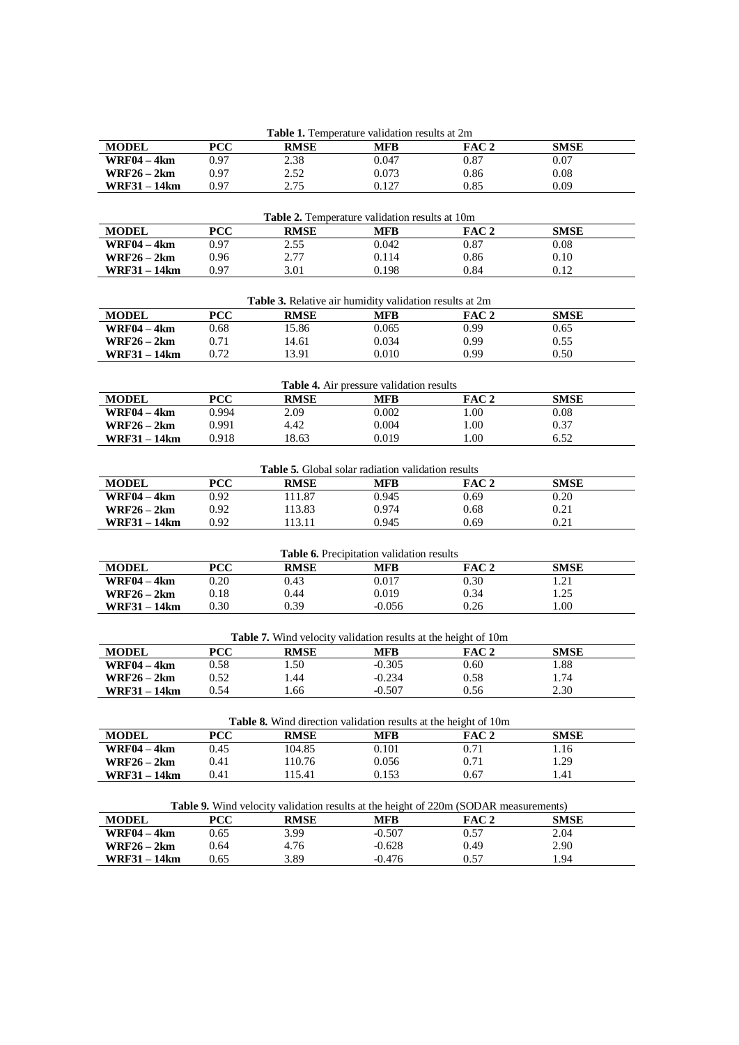| <b>Table 1.</b> Temperature validation results at 2m |            |                                                                       |                                                    |                                                                                      |             |  |  |  |
|------------------------------------------------------|------------|-----------------------------------------------------------------------|----------------------------------------------------|--------------------------------------------------------------------------------------|-------------|--|--|--|
| <b>MODEL</b>                                         | <b>PCC</b> | <b>RMSE</b>                                                           | <b>MFB</b>                                         | FAC <sub>2</sub>                                                                     | <b>SMSE</b> |  |  |  |
| <b>WRF04 - 4km</b>                                   | 0.97       | 2.38                                                                  | 0.047                                              | 0.87                                                                                 | 0.07        |  |  |  |
| $WRF26 - 2km$                                        | 0.97       | 2.52                                                                  | 0.073                                              | 0.86                                                                                 | 0.08        |  |  |  |
| <b>WRF31-14km</b>                                    | 0.97       | 2.75                                                                  | 0.127                                              | 0.85                                                                                 | 0.09        |  |  |  |
|                                                      |            |                                                                       |                                                    |                                                                                      |             |  |  |  |
| Table 2. Temperature validation results at 10m       |            |                                                                       |                                                    |                                                                                      |             |  |  |  |
| <b>MODEL</b>                                         | <b>PCC</b> | <b>RMSE</b>                                                           | <b>MFB</b>                                         | FAC <sub>2</sub>                                                                     | <b>SMSE</b> |  |  |  |
| $WRF04 - 4km$                                        | 0.97       | 2.55                                                                  | 0.042                                              | 0.87                                                                                 | 0.08        |  |  |  |
| $WRF26 - 2km$                                        | 0.96       | 2.77                                                                  | 0.114                                              | 0.86                                                                                 | 0.10        |  |  |  |
| <b>WRF31-14km</b>                                    | 0.97       | 3.01                                                                  | 0.198                                              | 0.84                                                                                 | 0.12        |  |  |  |
|                                                      |            |                                                                       |                                                    |                                                                                      |             |  |  |  |
|                                                      |            | Table 3. Relative air humidity validation results at 2m               |                                                    |                                                                                      |             |  |  |  |
| <b>MODEL</b>                                         | <b>PCC</b> | <b>RMSE</b>                                                           | <b>MFB</b>                                         | FAC 2                                                                                | <b>SMSE</b> |  |  |  |
| <b>WRF04-4km</b>                                     | 0.68       | 15.86                                                                 | 0.065                                              | 0.99                                                                                 | 0.65        |  |  |  |
| $WRF26 - 2km$                                        | 0.71       | 14.61                                                                 | 0.034                                              | 0.99                                                                                 | 0.55        |  |  |  |
| <b>WRF31-14km</b>                                    | 0.72       | 13.91                                                                 | 0.010                                              | 0.99                                                                                 | 0.50        |  |  |  |
|                                                      |            |                                                                       |                                                    |                                                                                      |             |  |  |  |
|                                                      |            |                                                                       | Table 4. Air pressure validation results           |                                                                                      |             |  |  |  |
| <b>MODEL</b>                                         | <b>PCC</b> | <b>RMSE</b>                                                           | <b>MFB</b>                                         | FAC <sub>2</sub>                                                                     | <b>SMSE</b> |  |  |  |
| <b>WRF04-4km</b>                                     | 0.994      | 2.09                                                                  | 0.002                                              | 1.00                                                                                 | 0.08        |  |  |  |
| $WRF26 - 2km$                                        | 0.991      | 4.42                                                                  | 0.004                                              | 1.00                                                                                 | 0.37        |  |  |  |
| <b>WRF31 - 14km</b>                                  | 0.918      | 18.63                                                                 | 0.019                                              | 1.00                                                                                 | 6.52        |  |  |  |
|                                                      |            |                                                                       |                                                    |                                                                                      |             |  |  |  |
|                                                      |            |                                                                       | Table 5. Global solar radiation validation results |                                                                                      |             |  |  |  |
| <b>MODEL</b>                                         | <b>PCC</b> | <b>RMSE</b>                                                           | <b>MFB</b>                                         | FAC <sub>2</sub>                                                                     | <b>SMSE</b> |  |  |  |
| <b>WRF04-4km</b>                                     | 0.92       | 111.87                                                                | 0.945                                              | 0.69                                                                                 | 0.20        |  |  |  |
| $WRF26 - 2km$                                        | 0.92       | 113.83                                                                | 0.974                                              | 0.68                                                                                 | 0.21        |  |  |  |
| <b>WRF31-14km</b>                                    | 0.92       | 113.11                                                                | 0.945                                              | 0.69                                                                                 | 0.21        |  |  |  |
|                                                      |            |                                                                       |                                                    |                                                                                      |             |  |  |  |
|                                                      |            |                                                                       | Table 6. Precipitation validation results          |                                                                                      |             |  |  |  |
| <b>MODEL</b>                                         | <b>PCC</b> | <b>RMSE</b>                                                           | <b>MFB</b>                                         | FAC <sub>2</sub>                                                                     | <b>SMSE</b> |  |  |  |
| $\overline{\text{WRF04}-4\text{km}}$                 | 0.20       | 0.43                                                                  | 0.017                                              | 0.30                                                                                 | 1.21        |  |  |  |
| $WRF26 - 2km$                                        | 0.18       | 0.44                                                                  | 0.019                                              | 0.34                                                                                 | 1.25        |  |  |  |
| WRF31 – 14km                                         | 0.30       | 0.39                                                                  | $-0.056$                                           | 0.26                                                                                 | 1.00        |  |  |  |
|                                                      |            |                                                                       |                                                    |                                                                                      |             |  |  |  |
|                                                      |            | <b>Table 7.</b> Wind velocity validation results at the height of 10m |                                                    |                                                                                      |             |  |  |  |
| <b>MODEL</b>                                         | <b>PCC</b> | <b>RMSE</b>                                                           | <b>MFB</b>                                         | FAC 2                                                                                | <b>SMSE</b> |  |  |  |
| <b>WRF04-4km</b>                                     | 0.58       | 1.50                                                                  | $-0.305$                                           | 0.60                                                                                 | 1.88        |  |  |  |
| WRF26 – 2km                                          | 0.52       | 1.44                                                                  | $-0.234$                                           | 0.58                                                                                 | 1.74        |  |  |  |
| <b>WRF31-14km</b>                                    | 0.54       | 1.66                                                                  | $-0.507$                                           | 0.56                                                                                 | 2.30        |  |  |  |
|                                                      |            |                                                                       |                                                    |                                                                                      |             |  |  |  |
|                                                      |            | Table 8. Wind direction validation results at the height of 10m       |                                                    |                                                                                      |             |  |  |  |
| <b>MODEL</b>                                         | <b>PCC</b> | <b>RMSE</b>                                                           | <b>MFB</b>                                         | FAC <sub>2</sub>                                                                     | <b>SMSE</b> |  |  |  |
| <b>WRF04-4km</b>                                     | 0.45       | 104.85                                                                | 0.101                                              | 0.71                                                                                 | 1.16        |  |  |  |
| $WRF26 - 2km$                                        | 0.41       | 110.76                                                                | 0.056                                              | 0.71                                                                                 | 1.29        |  |  |  |
| <b>WRF31-14km</b>                                    | 0.41       | 115.41                                                                | 0.153                                              | 0.67                                                                                 | 1.41        |  |  |  |
|                                                      |            |                                                                       |                                                    |                                                                                      |             |  |  |  |
|                                                      |            |                                                                       |                                                    | Table 9. Wind velocity validation results at the height of 220m (SODAR measurements) |             |  |  |  |
| <b>MODEL</b>                                         | <b>PCC</b> | <b>RMSE</b>                                                           | <b>MFB</b>                                         | FAC <sub>2</sub>                                                                     | <b>SMSE</b> |  |  |  |
| <b>WRF04-4km</b>                                     | 0.65       | 3.99                                                                  | $-0.507$                                           | 0.57                                                                                 | 2.04        |  |  |  |
| <b>WRF26 – 2km</b>                                   | 0.64       | 4.76                                                                  | $-0.628$                                           | 0.49                                                                                 | 2.90        |  |  |  |
| WRF31 – 14km                                         | 0.65       | 3.89                                                                  | $-0.476$                                           | 0.57                                                                                 | 1.94        |  |  |  |
|                                                      |            |                                                                       |                                                    |                                                                                      |             |  |  |  |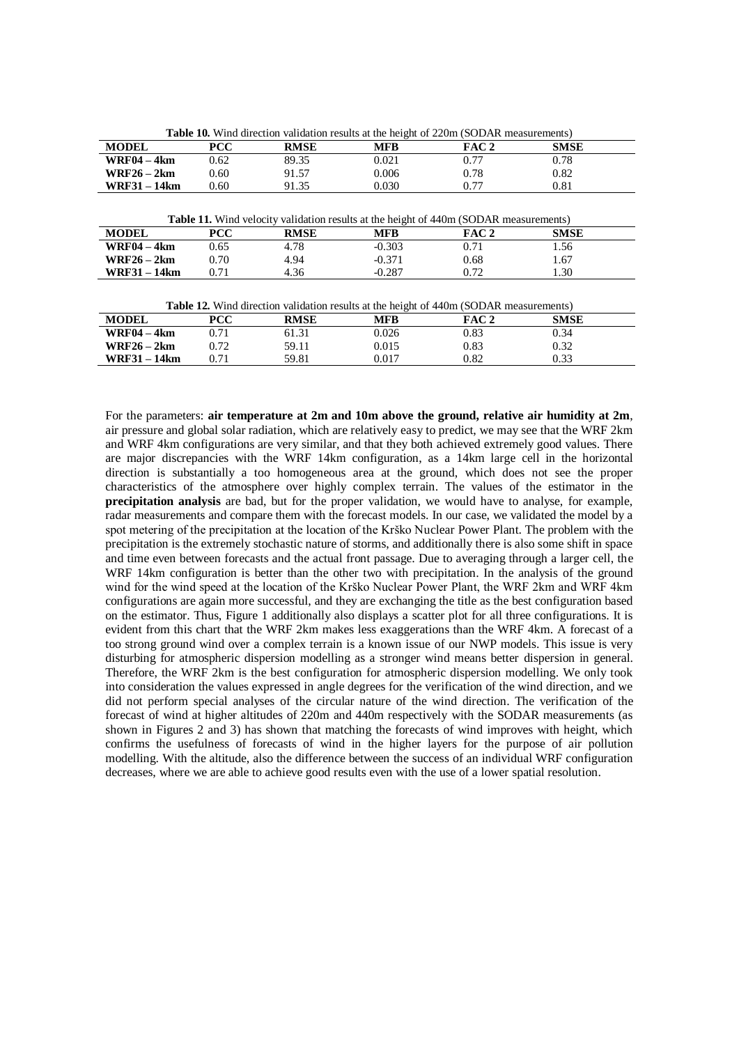| <b>MODEL</b>        | <b>PCC</b> | <b>RMSE</b> | <b>MFB</b> | FAC 2                                                                                        | <b>SMSE</b> |
|---------------------|------------|-------------|------------|----------------------------------------------------------------------------------------------|-------------|
| <b>WRF04 – 4km</b>  | 0.62       | 89.35       | 0.021      | 0.77                                                                                         | 0.78        |
| $WRF26 - 2km$       | 0.60       | 91.57       | 0.006      | 0.78                                                                                         | 0.82        |
| <b>WRF31 – 14km</b> |            | 91.35       | 0.030      | 0.77                                                                                         | 0.81        |
|                     | 0.60       |             |            | <b>Table 11.</b> Wind velocity validation results at the height of 440m (SODAR measurements) |             |
| <b>MODEL</b>        | <b>PCC</b> | <b>RMSE</b> | <b>MFB</b> | FAC 2                                                                                        | <b>SMSE</b> |
| <b>WRF04 – 4km</b>  | 0.65       | 4.78        | $-0.303$   | 0.71                                                                                         | 1.56        |
| $WRF26 - 2km$       | 0.70       | 4.94        | $-0.371$   | 0.68                                                                                         | 1.67        |

| <b>Table 12.</b> Wind direction validation results at the height of 440m (SODAR measurements) |       |             |       |                  |             |  |  |
|-----------------------------------------------------------------------------------------------|-------|-------------|-------|------------------|-------------|--|--|
| <b>MODEL</b>                                                                                  | PCC – | <b>RMSE</b> | MFB   | FAC <sub>2</sub> | <b>SMSE</b> |  |  |
| WRF04 – 4km                                                                                   |       | 61.31       | 0.026 | 0.83             | 0.34        |  |  |
| WRF26 – 2km                                                                                   |       | 59 11       | 0.015 | 0.83             | ก จว        |  |  |

**WRF31 – 14km** 0.71 59.81 0.017 0.82 0.33

For the parameters: **air temperature at 2m and 10m above the ground, relative air humidity at 2m**, air pressure and global solar radiation, which are relatively easy to predict, we may see that the WRF 2km and WRF 4km configurations are very similar, and that they both achieved extremely good values. There are major discrepancies with the WRF 14km configuration, as a 14km large cell in the horizontal direction is substantially a too homogeneous area at the ground, which does not see the proper characteristics of the atmosphere over highly complex terrain. The values of the estimator in the **precipitation analysis** are bad, but for the proper validation, we would have to analyse, for example, radar measurements and compare them with the forecast models. In our case, we validated the model by a spot metering of the precipitation at the location of the Krško Nuclear Power Plant. The problem with the precipitation is the extremely stochastic nature of storms, and additionally there is also some shift in space and time even between forecasts and the actual front passage. Due to averaging through a larger cell, the WRF 14km configuration is better than the other two with precipitation. In the analysis of the ground wind for the wind speed at the location of the Krško Nuclear Power Plant, the WRF 2km and WRF 4km configurations are again more successful, and they are exchanging the title as the best configuration based on the estimator. Thus, Figure 1 additionally also displays a scatter plot for all three configurations. It is evident from this chart that the WRF 2km makes less exaggerations than the WRF 4km. A forecast of a too strong ground wind over a complex terrain is a known issue of our NWP models. This issue is very disturbing for atmospheric dispersion modelling as a stronger wind means better dispersion in general. Therefore, the WRF 2km is the best configuration for atmospheric dispersion modelling. We only took into consideration the values expressed in angle degrees for the verification of the wind direction, and we did not perform special analyses of the circular nature of the wind direction. The verification of the forecast of wind at higher altitudes of 220m and 440m respectively with the SODAR measurements (as shown in Figures 2 and 3) has shown that matching the forecasts of wind improves with height, which confirms the usefulness of forecasts of wind in the higher layers for the purpose of air pollution modelling. With the altitude, also the difference between the success of an individual WRF configuration decreases, where we are able to achieve good results even with the use of a lower spatial resolution.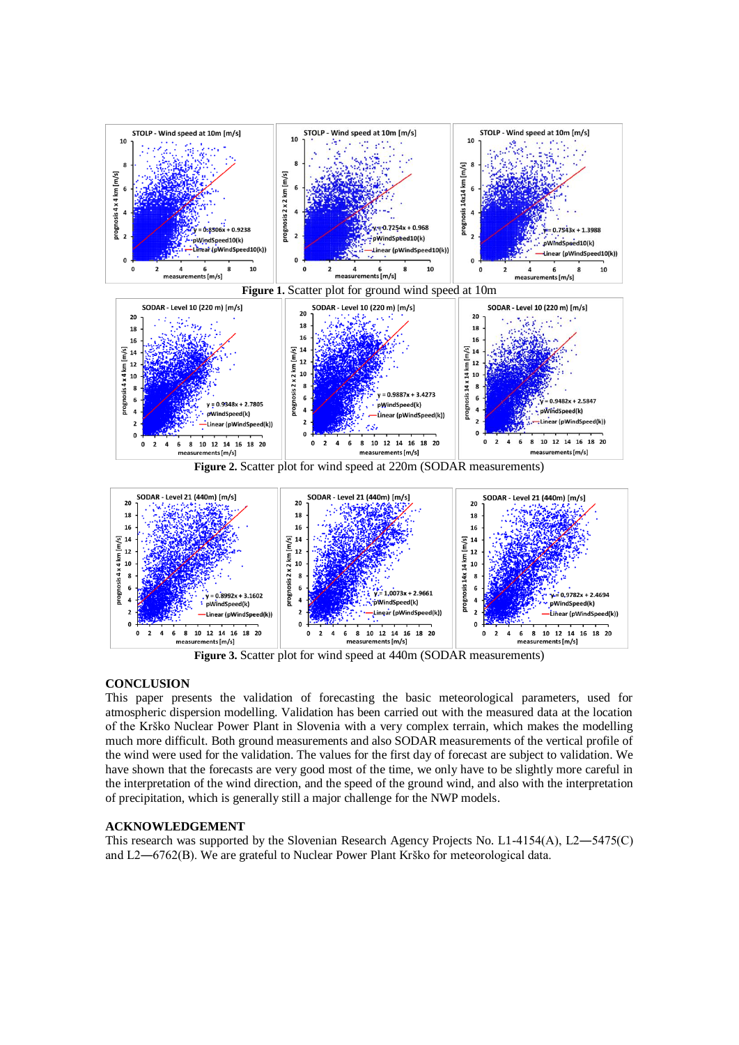

6  $Y = 1,0073x + 2.9661$  $\frac{1}{2}$ 0.9782x + 2.4694  $0.8992x + 3.160$  $\overline{4}$ windSpeed(k) pWindSpeed(k) pWindSpeed(k)  $\overline{a}$ -<br>Linear (pWindSp ed(k))  $\overline{\phantom{a}}$ .<br>Linear (pWindSpeed(k)) -Linear (pWindSpeed(k)) 8 10 12 14 16 18 20  $6^{\circ}$ 6 8 10 12 14 16 18 20  $\overline{2}$  $\overline{a}$ 6  $\mathbf 0$ 4 0 surements [m/s]  $r = 12$ mea meas

**Figure 3.** Scatter plot for wind speed at 440m (SODAR measurements)

# **CONCLUSION**

 $\overline{1}$ 

 $\mathbf{o}$ 

This paper presents the validation of forecasting the basic meteorological parameters, used for atmospheric dispersion modelling. Validation has been carried out with the measured data at the location of the Krško Nuclear Power Plant in Slovenia with a very complex terrain, which makes the modelling much more difficult. Both ground measurements and also SODAR measurements of the vertical profile of the wind were used for the validation. The values for the first day of forecast are subject to validation. We have shown that the forecasts are very good most of the time, we only have to be slightly more careful in the interpretation of the wind direction, and the speed of the ground wind, and also with the interpretation of precipitation, which is generally still a major challenge for the NWP models.

#### **ACKNOWLEDGEMENT**

This research was supported by the Slovenian Research Agency Projects No. L1-4154(A), L2—5475(C) and L2―6762(B). We are grateful to Nuclear Power Plant Krško for meteorological data.